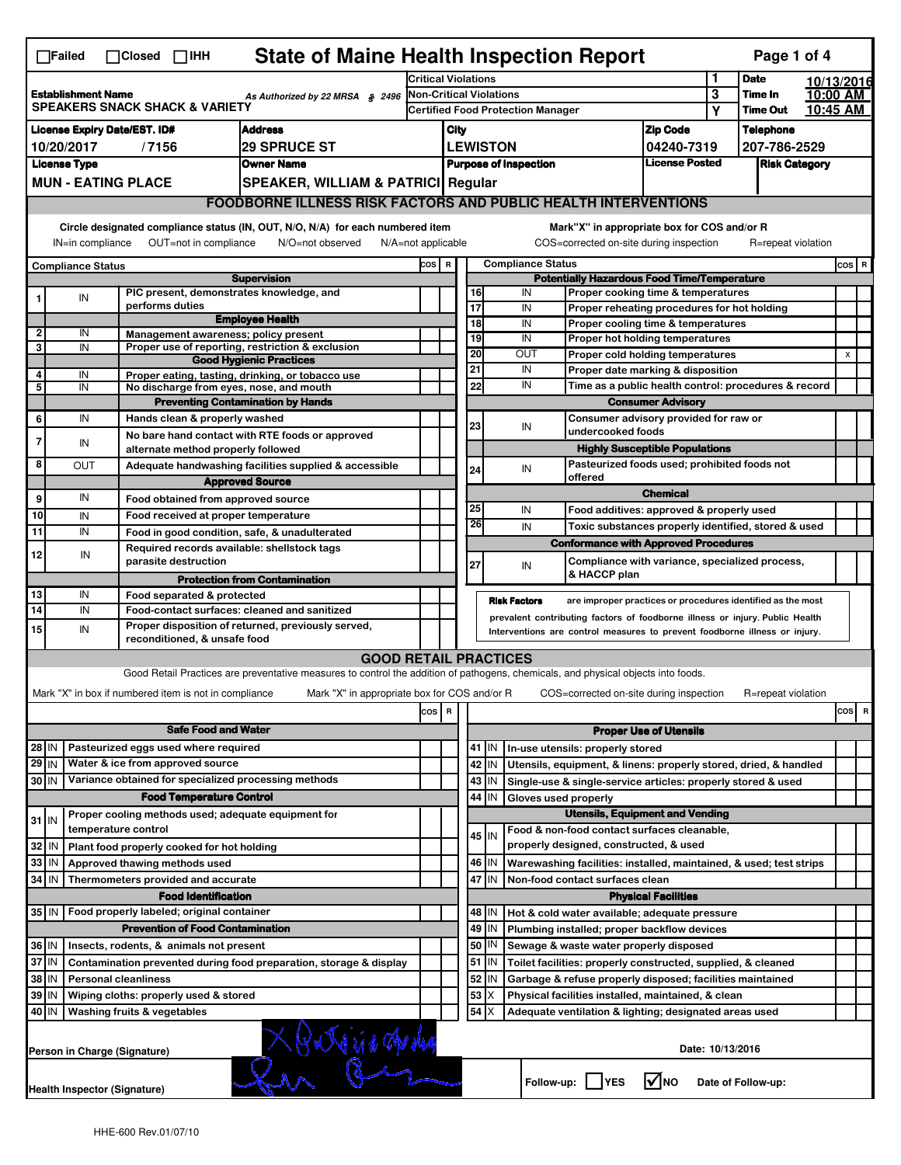|                                                                                                                                                                                                                                                                                       | <b>State of Maine Health Inspection Report</b><br>Page 1 of 4<br>$\Box$ Failed<br>$\Box$ Closed $\Box$ IHH |                                                       |                                                                                                                                   |        |                                                                            |                                                    |                 |                          |                                                                                       |                               |                      |                    |            |                |   |  |  |
|---------------------------------------------------------------------------------------------------------------------------------------------------------------------------------------------------------------------------------------------------------------------------------------|------------------------------------------------------------------------------------------------------------|-------------------------------------------------------|-----------------------------------------------------------------------------------------------------------------------------------|--------|----------------------------------------------------------------------------|----------------------------------------------------|-----------------|--------------------------|---------------------------------------------------------------------------------------|-------------------------------|----------------------|--------------------|------------|----------------|---|--|--|
|                                                                                                                                                                                                                                                                                       |                                                                                                            |                                                       |                                                                                                                                   |        | <b>Critical Violations</b>                                                 |                                                    |                 |                          |                                                                                       |                               | 1                    | <b>Date</b>        | 10/13/2016 |                |   |  |  |
| <b>Establishment Name</b><br>As Authorized by 22 MRSA § 2496<br><b>SPEAKERS SNACK SHACK &amp; VARIETY</b>                                                                                                                                                                             |                                                                                                            |                                                       |                                                                                                                                   |        | <b>Non-Critical Violations</b>                                             |                                                    |                 |                          |                                                                                       | 3                             | Time In              | 10:00 AM           |            |                |   |  |  |
|                                                                                                                                                                                                                                                                                       |                                                                                                            |                                                       |                                                                                                                                   |        |                                                                            | <b>Certified Food Protection Manager</b>           |                 |                          |                                                                                       |                               | Υ                    | <b>Time Out</b>    | 10:45 AM   |                |   |  |  |
| <b>License Expiry Date/EST. ID#</b><br><b>Address</b>                                                                                                                                                                                                                                 |                                                                                                            |                                                       |                                                                                                                                   |        | City                                                                       |                                                    |                 |                          | <b>Zip Code</b>                                                                       |                               | <b>Telephone</b>     |                    |            |                |   |  |  |
| <b>29 SPRUCE ST</b><br>10/20/2017<br>/7156                                                                                                                                                                                                                                            |                                                                                                            |                                                       |                                                                                                                                   |        |                                                                            |                                                    | <b>LEWISTON</b> |                          |                                                                                       | 04240-7319                    |                      | 207-786-2529       |            |                |   |  |  |
| <b>License Type</b><br><b>Owner Name</b>                                                                                                                                                                                                                                              |                                                                                                            |                                                       |                                                                                                                                   |        | <b>License Posted</b><br><b>Purpose of Inspection</b>                      |                                                    |                 |                          |                                                                                       |                               | <b>Risk Category</b> |                    |            |                |   |  |  |
|                                                                                                                                                                                                                                                                                       | <b>MUN - EATING PLACE</b><br><b>SPEAKER, WILLIAM &amp; PATRICI Regular</b>                                 |                                                       |                                                                                                                                   |        |                                                                            |                                                    |                 |                          |                                                                                       |                               |                      |                    |            |                |   |  |  |
|                                                                                                                                                                                                                                                                                       |                                                                                                            |                                                       | <b>FOODBORNE ILLNESS RISK FACTORS AND PUBLIC HEALTH INTERVENTIONS</b>                                                             |        |                                                                            |                                                    |                 |                          |                                                                                       |                               |                      |                    |            |                |   |  |  |
| Circle designated compliance status (IN, OUT, N/O, N/A) for each numbered item<br>Mark"X" in appropriate box for COS and/or R<br>OUT=not in compliance<br>COS=corrected on-site during inspection<br>IN=in compliance<br>N/O=not observed<br>N/A=not applicable<br>R=repeat violation |                                                                                                            |                                                       |                                                                                                                                   |        |                                                                            |                                                    |                 |                          |                                                                                       |                               |                      |                    |            |                |   |  |  |
| <b>Compliance Status</b>                                                                                                                                                                                                                                                              |                                                                                                            |                                                       |                                                                                                                                   |        |                                                                            |                                                    |                 | <b>Compliance Status</b> |                                                                                       |                               |                      |                    |            | $cos$ R        |   |  |  |
| <b>Supervision</b>                                                                                                                                                                                                                                                                    |                                                                                                            |                                                       |                                                                                                                                   |        |                                                                            | <b>Potentially Hazardous Food Time/Temperature</b> |                 |                          |                                                                                       |                               |                      |                    |            |                |   |  |  |
|                                                                                                                                                                                                                                                                                       | IN                                                                                                         | performs duties                                       | PIC present, demonstrates knowledge, and                                                                                          |        |                                                                            |                                                    | 16<br>17        | IN<br>IN                 | Proper cooking time & temperatures<br>Proper reheating procedures for hot holding     |                               |                      |                    |            |                |   |  |  |
|                                                                                                                                                                                                                                                                                       |                                                                                                            |                                                       | <b>Employee Health</b>                                                                                                            |        |                                                                            |                                                    | $\overline{18}$ | IN                       | Proper cooling time & temperatures                                                    |                               |                      |                    |            |                |   |  |  |
| 2                                                                                                                                                                                                                                                                                     | IN                                                                                                         |                                                       | Management awareness; policy present                                                                                              |        |                                                                            |                                                    | 19              | IN                       | Proper hot holding temperatures                                                       |                               |                      |                    |            |                |   |  |  |
| 3                                                                                                                                                                                                                                                                                     | IN                                                                                                         |                                                       | Proper use of reporting, restriction & exclusion<br><b>Good Hygienic Practices</b>                                                |        |                                                                            |                                                    | 20              | OUT                      | Proper cold holding temperatures                                                      |                               |                      |                    |            | $\pmb{\times}$ |   |  |  |
| 4                                                                                                                                                                                                                                                                                     | IN                                                                                                         |                                                       | Proper eating, tasting, drinking, or tobacco use                                                                                  |        |                                                                            |                                                    | 21              | IN                       | Proper date marking & disposition                                                     |                               |                      |                    |            |                |   |  |  |
| 5                                                                                                                                                                                                                                                                                     | IN                                                                                                         |                                                       | No discharge from eyes, nose, and mouth                                                                                           |        |                                                                            |                                                    | 22              | IN                       | Time as a public health control: procedures & record                                  |                               |                      |                    |            |                |   |  |  |
|                                                                                                                                                                                                                                                                                       |                                                                                                            |                                                       | <b>Preventing Contamination by Hands</b>                                                                                          |        |                                                                            |                                                    |                 |                          | <b>Consumer Advisory</b>                                                              |                               |                      |                    |            |                |   |  |  |
| 6                                                                                                                                                                                                                                                                                     | IN                                                                                                         | Hands clean & properly washed                         |                                                                                                                                   |        |                                                                            |                                                    | 23              | IN                       | Consumer advisory provided for raw or<br>undercooked foods                            |                               |                      |                    |            |                |   |  |  |
| $\overline{7}$                                                                                                                                                                                                                                                                        | IN                                                                                                         |                                                       | No bare hand contact with RTE foods or approved                                                                                   |        |                                                                            |                                                    |                 |                          |                                                                                       |                               |                      |                    |            |                |   |  |  |
| 8                                                                                                                                                                                                                                                                                     | OUT                                                                                                        | alternate method properly followed                    |                                                                                                                                   |        |                                                                            |                                                    |                 |                          | <b>Highly Susceptible Populations</b><br>Pasteurized foods used; prohibited foods not |                               |                      |                    |            |                |   |  |  |
|                                                                                                                                                                                                                                                                                       |                                                                                                            |                                                       | Adequate handwashing facilities supplied & accessible<br><b>Approved Source</b>                                                   |        |                                                                            |                                                    | 24              | IN                       | offered                                                                               |                               |                      |                    |            |                |   |  |  |
| 9                                                                                                                                                                                                                                                                                     | IN                                                                                                         | Food obtained from approved source                    |                                                                                                                                   |        |                                                                            |                                                    |                 |                          |                                                                                       | <b>Chemical</b>               |                      |                    |            |                |   |  |  |
| 10                                                                                                                                                                                                                                                                                    | IN                                                                                                         | Food received at proper temperature                   |                                                                                                                                   |        |                                                                            |                                                    | 25              | IN                       | Food additives: approved & properly used                                              |                               |                      |                    |            |                |   |  |  |
| 11                                                                                                                                                                                                                                                                                    | IN                                                                                                         |                                                       | Food in good condition, safe, & unadulterated                                                                                     |        |                                                                            |                                                    | 26              | IN                       | Toxic substances properly identified, stored & used                                   |                               |                      |                    |            |                |   |  |  |
|                                                                                                                                                                                                                                                                                       |                                                                                                            |                                                       | Required records available: shellstock tags                                                                                       |        |                                                                            |                                                    |                 |                          | <b>Conformance with Approved Procedures</b>                                           |                               |                      |                    |            |                |   |  |  |
| 12                                                                                                                                                                                                                                                                                    | IN                                                                                                         | parasite destruction                                  |                                                                                                                                   |        |                                                                            |                                                    | 27              | IN                       | Compliance with variance, specialized process,                                        |                               |                      |                    |            |                |   |  |  |
|                                                                                                                                                                                                                                                                                       |                                                                                                            |                                                       | <b>Protection from Contamination</b>                                                                                              |        |                                                                            |                                                    |                 |                          | & HACCP plan                                                                          |                               |                      |                    |            |                |   |  |  |
| 13                                                                                                                                                                                                                                                                                    | IN                                                                                                         | Food separated & protected                            |                                                                                                                                   |        |                                                                            |                                                    |                 | <b>Risk Factors</b>      | are improper practices or procedures identified as the most                           |                               |                      |                    |            |                |   |  |  |
| 14                                                                                                                                                                                                                                                                                    | IN                                                                                                         |                                                       | Food-contact surfaces: cleaned and sanitized                                                                                      |        |                                                                            |                                                    |                 |                          | prevalent contributing factors of foodborne illness or injury. Public Health          |                               |                      |                    |            |                |   |  |  |
| 15                                                                                                                                                                                                                                                                                    | IN                                                                                                         | reconditioned, & unsafe food                          | Proper disposition of returned, previously served,                                                                                |        | Interventions are control measures to prevent foodborne illness or injury. |                                                    |                 |                          |                                                                                       |                               |                      |                    |            |                |   |  |  |
|                                                                                                                                                                                                                                                                                       |                                                                                                            |                                                       | <b>GOOD RETAIL PRACTICES</b>                                                                                                      |        |                                                                            |                                                    |                 |                          |                                                                                       |                               |                      |                    |            |                |   |  |  |
|                                                                                                                                                                                                                                                                                       |                                                                                                            |                                                       | Good Retail Practices are preventative measures to control the addition of pathogens, chemicals, and physical objects into foods. |        |                                                                            |                                                    |                 |                          |                                                                                       |                               |                      |                    |            |                |   |  |  |
|                                                                                                                                                                                                                                                                                       |                                                                                                            | Mark "X" in box if numbered item is not in compliance | Mark "X" in appropriate box for COS and/or R                                                                                      |        |                                                                            |                                                    |                 |                          | COS=corrected on-site during inspection                                               |                               |                      | R=repeat violation |            |                |   |  |  |
|                                                                                                                                                                                                                                                                                       |                                                                                                            |                                                       |                                                                                                                                   | $\cos$ | R                                                                          |                                                    |                 |                          |                                                                                       |                               |                      |                    |            | cosl           | R |  |  |
|                                                                                                                                                                                                                                                                                       |                                                                                                            |                                                       |                                                                                                                                   |        |                                                                            |                                                    |                 |                          |                                                                                       | <b>Proper Use of Utensils</b> |                      |                    |            |                |   |  |  |
|                                                                                                                                                                                                                                                                                       | <b>Safe Food and Water</b>                                                                                 |                                                       |                                                                                                                                   |        |                                                                            |                                                    | $41$ M          |                          | In-use utensils: properly stored                                                      |                               |                      |                    |            |                |   |  |  |
| Pasteurized eggs used where required<br>28 IN<br>Water & ice from approved source<br>$29$ IN                                                                                                                                                                                          |                                                                                                            |                                                       |                                                                                                                                   |        |                                                                            |                                                    | 42   IN         |                          | Utensils, equipment, & linens: properly stored, dried, & handled                      |                               |                      |                    |            |                |   |  |  |
| 30 IN                                                                                                                                                                                                                                                                                 |                                                                                                            | Variance obtained for specialized processing methods  |                                                                                                                                   |        |                                                                            |                                                    | $43$ IN         |                          | Single-use & single-service articles: properly stored & used                          |                               |                      |                    |            |                |   |  |  |
|                                                                                                                                                                                                                                                                                       |                                                                                                            | <b>Food Temperature Control</b>                       |                                                                                                                                   |        |                                                                            |                                                    | 44<br>IN        | Gloves used properly     |                                                                                       |                               |                      |                    |            |                |   |  |  |
|                                                                                                                                                                                                                                                                                       |                                                                                                            | Proper cooling methods used; adequate equipment for   |                                                                                                                                   |        |                                                                            |                                                    |                 |                          | <b>Utensils, Equipment and Vending</b>                                                |                               |                      |                    |            |                |   |  |  |
| $31$ IN                                                                                                                                                                                                                                                                               |                                                                                                            | temperature control                                   |                                                                                                                                   |        |                                                                            |                                                    | 45 IN           |                          | Food & non-food contact surfaces cleanable,                                           |                               |                      |                    |            |                |   |  |  |
| 32                                                                                                                                                                                                                                                                                    | IN                                                                                                         | Plant food properly cooked for hot holding            |                                                                                                                                   |        |                                                                            |                                                    |                 |                          | properly designed, constructed, & used                                                |                               |                      |                    |            |                |   |  |  |
| 33                                                                                                                                                                                                                                                                                    | IN                                                                                                         | Approved thawing methods used                         |                                                                                                                                   |        |                                                                            |                                                    | 46 IN           |                          | Warewashing facilities: installed, maintained, & used; test strips                    |                               |                      |                    |            |                |   |  |  |
| 34                                                                                                                                                                                                                                                                                    | <b>IN</b>                                                                                                  | Thermometers provided and accurate                    |                                                                                                                                   |        |                                                                            | 47 IN<br>Non-food contact surfaces clean           |                 |                          |                                                                                       |                               |                      |                    |            |                |   |  |  |
|                                                                                                                                                                                                                                                                                       |                                                                                                            | <b>Food Identification</b>                            |                                                                                                                                   |        |                                                                            | <b>Physical Facilities</b>                         |                 |                          |                                                                                       |                               |                      |                    |            |                |   |  |  |
| 35 IN                                                                                                                                                                                                                                                                                 |                                                                                                            | Food properly labeled; original container             |                                                                                                                                   |        |                                                                            |                                                    | 48   IN         |                          | Hot & cold water available; adequate pressure                                         |                               |                      |                    |            |                |   |  |  |
| <b>Prevention of Food Contamination</b>                                                                                                                                                                                                                                               |                                                                                                            |                                                       |                                                                                                                                   |        |                                                                            |                                                    | $49$ IN         |                          | Plumbing installed; proper backflow devices                                           |                               |                      |                    |            |                |   |  |  |
| 36 IN<br>Insects, rodents, & animals not present                                                                                                                                                                                                                                      |                                                                                                            |                                                       |                                                                                                                                   |        |                                                                            |                                                    | 50   IN         |                          | Sewage & waste water properly disposed                                                |                               |                      |                    |            |                |   |  |  |
| 37 IN<br>Contamination prevented during food preparation, storage & display                                                                                                                                                                                                           |                                                                                                            |                                                       |                                                                                                                                   |        |                                                                            |                                                    | $51$ $\vert$ IN |                          | Toilet facilities: properly constructed, supplied, & cleaned                          |                               |                      |                    |            |                |   |  |  |
| 38<br>IN<br><b>Personal cleanliness</b>                                                                                                                                                                                                                                               |                                                                                                            |                                                       |                                                                                                                                   |        |                                                                            |                                                    | 52<br>IN        |                          | Garbage & refuse properly disposed; facilities maintained                             |                               |                      |                    |            |                |   |  |  |
| 39<br>Wiping cloths: properly used & stored<br>IN                                                                                                                                                                                                                                     |                                                                                                            |                                                       |                                                                                                                                   |        |                                                                            |                                                    | 53<br>X         |                          | Physical facilities installed, maintained, & clean                                    |                               |                      |                    |            |                |   |  |  |
| 40                                                                                                                                                                                                                                                                                    | ΙM                                                                                                         | Washing fruits & vegetables                           |                                                                                                                                   |        |                                                                            |                                                    | 54   X          |                          | Adequate ventilation & lighting; designated areas used                                |                               |                      |                    |            |                |   |  |  |
|                                                                                                                                                                                                                                                                                       | Date: 10/13/2016<br>Person in Charge (Signature)                                                           |                                                       |                                                                                                                                   |        |                                                                            |                                                    |                 |                          |                                                                                       |                               |                      |                    |            |                |   |  |  |
|                                                                                                                                                                                                                                                                                       | Follow-up:<br>l✔lno<br>Date of Follow-up:<br><b>YES</b><br><b>Health Inspector (Signature)</b>             |                                                       |                                                                                                                                   |        |                                                                            |                                                    |                 |                          |                                                                                       |                               |                      |                    |            |                |   |  |  |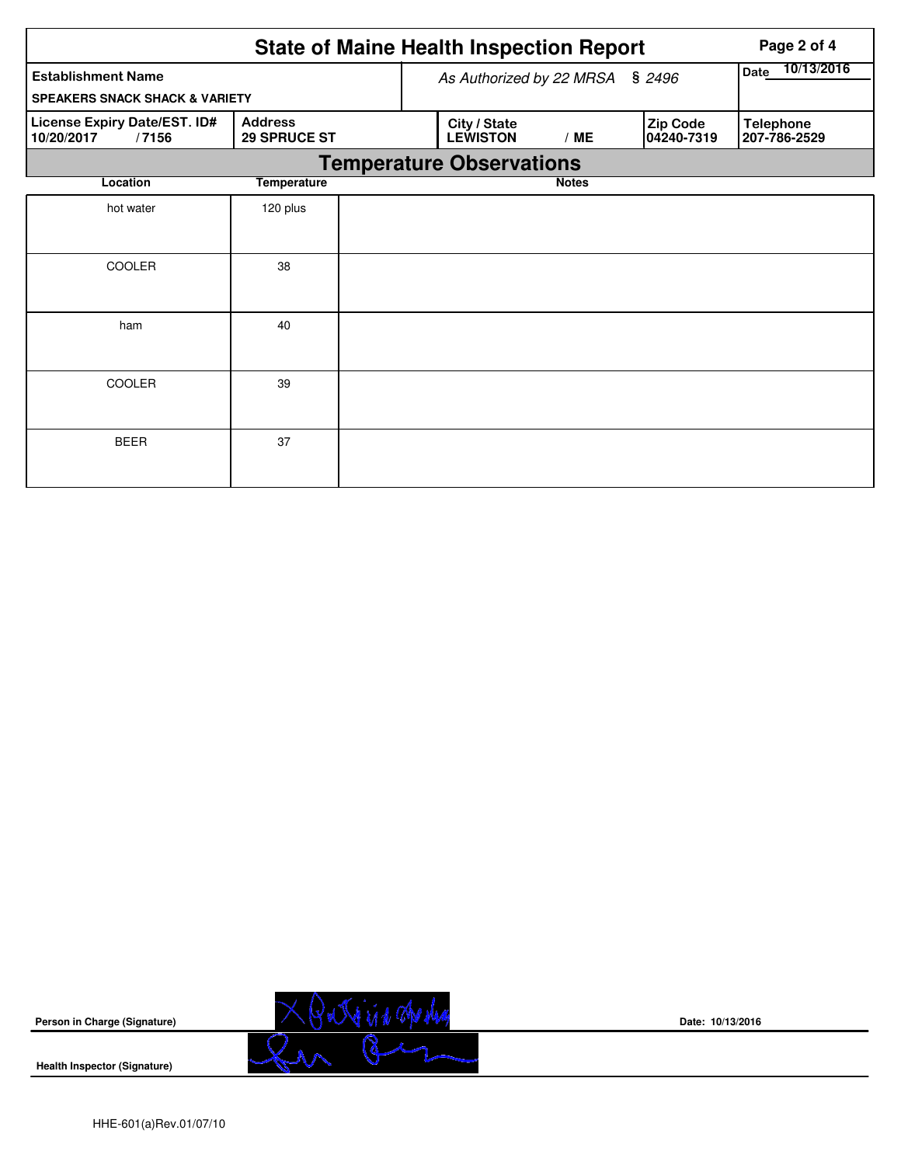|                                                     |                                       |                          | <b>State of Maine Health Inspection Report</b> | Page 2 of 4  |                        |                                  |  |  |  |  |
|-----------------------------------------------------|---------------------------------------|--------------------------|------------------------------------------------|--------------|------------------------|----------------------------------|--|--|--|--|
| <b>Establishment Name</b>                           |                                       | As Authorized by 22 MRSA | 10/13/2016<br><b>Date</b>                      |              |                        |                                  |  |  |  |  |
| <b>SPEAKERS SNACK SHACK &amp; VARIETY</b>           |                                       |                          |                                                |              |                        |                                  |  |  |  |  |
| License Expiry Date/EST. ID#<br>10/20/2017<br>/7156 | <b>Address</b><br><b>29 SPRUCE ST</b> |                          | City / State<br><b>LEWISTON</b><br>/ME         |              | Zip Code<br>04240-7319 | <b>Telephone</b><br>207-786-2529 |  |  |  |  |
| <b>Temperature Observations</b>                     |                                       |                          |                                                |              |                        |                                  |  |  |  |  |
| Location                                            | <b>Temperature</b>                    |                          |                                                | <b>Notes</b> |                        |                                  |  |  |  |  |
| hot water                                           | 120 plus                              |                          |                                                |              |                        |                                  |  |  |  |  |
|                                                     |                                       |                          |                                                |              |                        |                                  |  |  |  |  |
| <b>COOLER</b>                                       | 38                                    |                          |                                                |              |                        |                                  |  |  |  |  |
| ham                                                 | 40                                    |                          |                                                |              |                        |                                  |  |  |  |  |
| COOLER                                              | 39                                    |                          |                                                |              |                        |                                  |  |  |  |  |
| <b>BEER</b>                                         | 37                                    |                          |                                                |              |                        |                                  |  |  |  |  |

**Person in Charge (Signature)**

XBatricia apoles

**Date: 10/13/2016**

**Health Inspector (Signature)**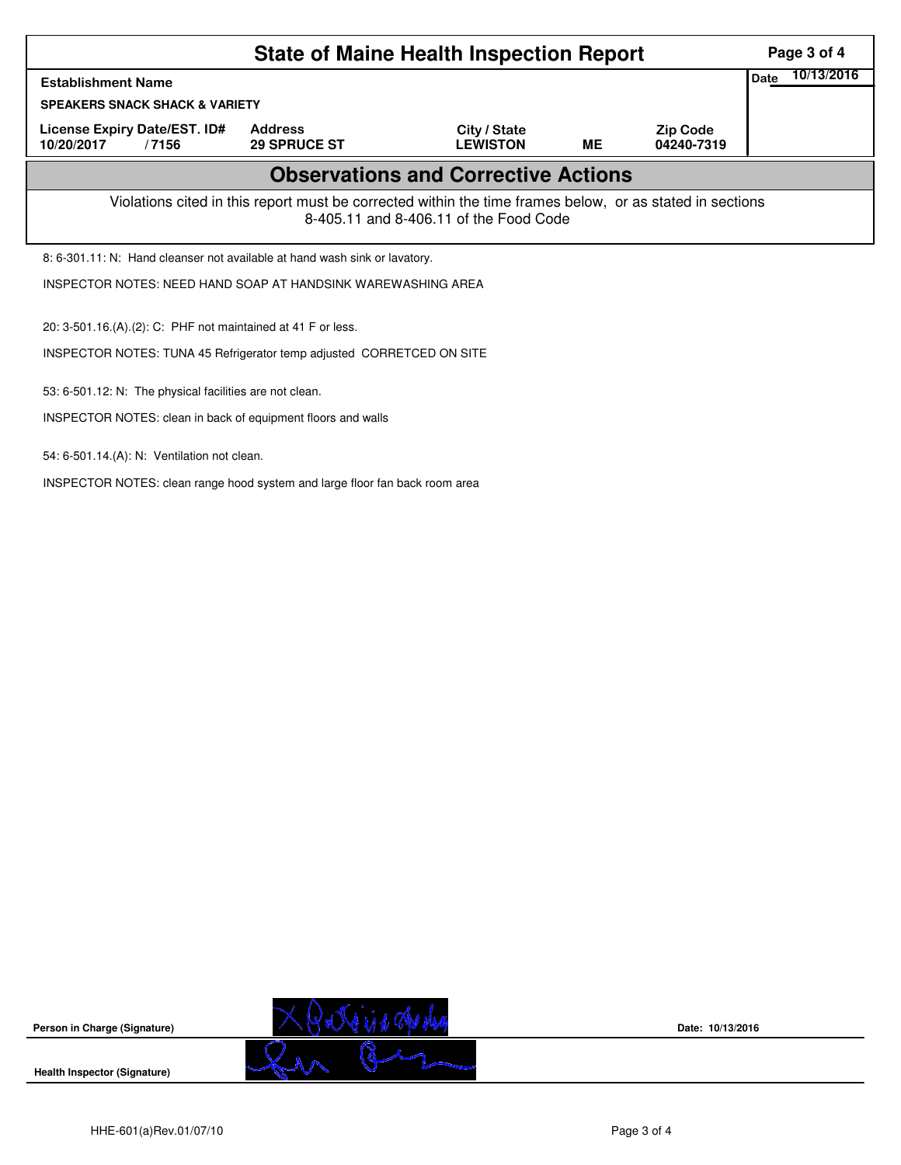|                                                                                                                                                    | Page 3 of 4                           |                                 |    |                               |                    |  |  |  |
|----------------------------------------------------------------------------------------------------------------------------------------------------|---------------------------------------|---------------------------------|----|-------------------------------|--------------------|--|--|--|
| <b>Establishment Name</b>                                                                                                                          |                                       |                                 |    |                               | 10/13/2016<br>Date |  |  |  |
| <b>SPEAKERS SNACK SHACK &amp; VARIETY</b>                                                                                                          |                                       |                                 |    |                               |                    |  |  |  |
| License Expiry Date/EST. ID#<br>10/20/2017<br>/7156                                                                                                | <b>Address</b><br><b>29 SPRUCE ST</b> | City / State<br><b>LEWISTON</b> | MЕ | <b>Zip Code</b><br>04240-7319 |                    |  |  |  |
| <b>Observations and Corrective Actions</b>                                                                                                         |                                       |                                 |    |                               |                    |  |  |  |
| Violations cited in this report must be corrected within the time frames below, or as stated in sections<br>8-405.11 and 8-406.11 of the Food Code |                                       |                                 |    |                               |                    |  |  |  |
| 8: 6-301.11: N: Hand cleanser not available at hand wash sink or lavatory.                                                                         |                                       |                                 |    |                               |                    |  |  |  |
| INSPECTOR NOTES: NEED HAND SOAP AT HANDSINK WAREWASHING AREA                                                                                       |                                       |                                 |    |                               |                    |  |  |  |
| 20: 3-501.16.(A).(2): C: PHF not maintained at 41 F or less.                                                                                       |                                       |                                 |    |                               |                    |  |  |  |
| INSPECTOR NOTES: TUNA 45 Refrigerator temp adjusted CORRETCED ON SITE                                                                              |                                       |                                 |    |                               |                    |  |  |  |
| 53: 6-501.12: N: The physical facilities are not clean.                                                                                            |                                       |                                 |    |                               |                    |  |  |  |
| INSPECTOR NOTES: clean in back of equipment floors and walls                                                                                       |                                       |                                 |    |                               |                    |  |  |  |
| 54: 6-501.14.(A): N: Ventilation not clean.                                                                                                        |                                       |                                 |    |                               |                    |  |  |  |
| INSPECTOR NOTES: clean range hood system and large floor fan back room area                                                                        |                                       |                                 |    |                               |                    |  |  |  |

**Person in Charge (Signature)**

**Health Inspector (Signature)** 



**Date: 10/13/2016**